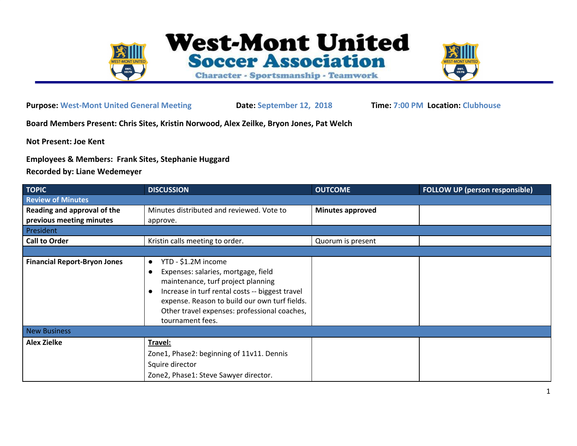

**Purpose: West-Mont United General Meeting Date: September 12, 2018 Time: 7:00 PM Location: Clubhouse**

**Board Members Present: Chris Sites, Kristin Norwood, Alex Zeilke, Bryon Jones, Pat Welch**

**Not Present: Joe Kent**

**Employees & Members: Frank Sites, Stephanie Huggard**

**Recorded by: Liane Wedemeyer**

| <b>TOPIC</b>                         | <b>DISCUSSION</b>                                                                                                                                                | <b>OUTCOME</b>          | <b>FOLLOW UP (person responsible)</b> |  |  |  |
|--------------------------------------|------------------------------------------------------------------------------------------------------------------------------------------------------------------|-------------------------|---------------------------------------|--|--|--|
| <b>Review of Minutes</b>             |                                                                                                                                                                  |                         |                                       |  |  |  |
| Reading and approval of the          | Minutes distributed and reviewed. Vote to                                                                                                                        | <b>Minutes approved</b> |                                       |  |  |  |
| previous meeting minutes<br>approve. |                                                                                                                                                                  |                         |                                       |  |  |  |
| President                            |                                                                                                                                                                  |                         |                                       |  |  |  |
| <b>Call to Order</b>                 | Kristin calls meeting to order.                                                                                                                                  | Quorum is present       |                                       |  |  |  |
|                                      |                                                                                                                                                                  |                         |                                       |  |  |  |
| <b>Financial Report-Bryon Jones</b>  | YTD - \$1.2M income<br>$\bullet$<br>Expenses: salaries, mortgage, field<br>maintenance, turf project planning<br>Increase in turf rental costs -- biggest travel |                         |                                       |  |  |  |
|                                      | expense. Reason to build our own turf fields.<br>Other travel expenses: professional coaches,<br>tournament fees.                                                |                         |                                       |  |  |  |
| <b>New Business</b>                  |                                                                                                                                                                  |                         |                                       |  |  |  |
| <b>Alex Zielke</b>                   | Travel:                                                                                                                                                          |                         |                                       |  |  |  |
|                                      | Zone1, Phase2: beginning of 11v11. Dennis                                                                                                                        |                         |                                       |  |  |  |
|                                      | Squire director                                                                                                                                                  |                         |                                       |  |  |  |
|                                      | Zone2, Phase1: Steve Sawyer director.                                                                                                                            |                         |                                       |  |  |  |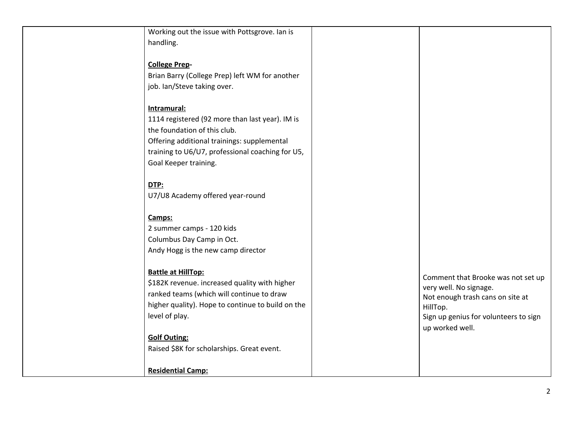| Working out the issue with Pottsgrove. Ian is     |                                       |
|---------------------------------------------------|---------------------------------------|
| handling.                                         |                                       |
|                                                   |                                       |
| <b>College Prep-</b>                              |                                       |
| Brian Barry (College Prep) left WM for another    |                                       |
| job. Ian/Steve taking over.                       |                                       |
|                                                   |                                       |
| Intramural:                                       |                                       |
| 1114 registered (92 more than last year). IM is   |                                       |
| the foundation of this club.                      |                                       |
| Offering additional trainings: supplemental       |                                       |
| training to U6/U7, professional coaching for U5,  |                                       |
| Goal Keeper training.                             |                                       |
| DTP:                                              |                                       |
| U7/U8 Academy offered year-round                  |                                       |
|                                                   |                                       |
| Camps:                                            |                                       |
| 2 summer camps - 120 kids                         |                                       |
| Columbus Day Camp in Oct.                         |                                       |
| Andy Hogg is the new camp director                |                                       |
|                                                   |                                       |
| <b>Battle at HillTop:</b>                         | Comment that Brooke was not set up    |
| \$182K revenue. increased quality with higher     | very well. No signage.                |
| ranked teams (which will continue to draw         | Not enough trash cans on site at      |
| higher quality). Hope to continue to build on the | HillTop.                              |
| level of play.                                    | Sign up genius for volunteers to sign |
|                                                   | up worked well.                       |
| <b>Golf Outing:</b>                               |                                       |
| Raised \$8K for scholarships. Great event.        |                                       |
| <b>Residential Camp:</b>                          |                                       |
|                                                   |                                       |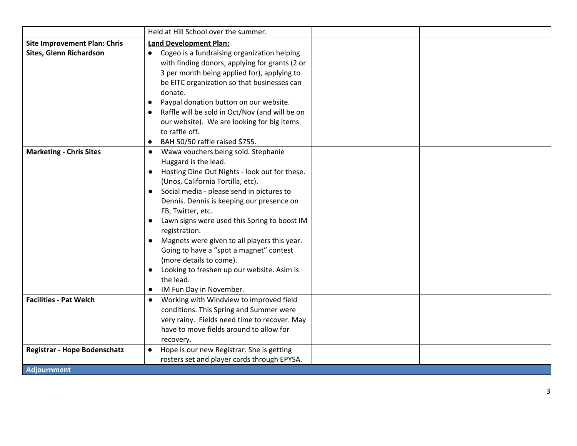|                                     | Held at Hill School over the summer.                                                                                                                                                                                                                                                                                                                                                                                                                                                                                                                         |
|-------------------------------------|--------------------------------------------------------------------------------------------------------------------------------------------------------------------------------------------------------------------------------------------------------------------------------------------------------------------------------------------------------------------------------------------------------------------------------------------------------------------------------------------------------------------------------------------------------------|
| <b>Site Improvement Plan: Chris</b> | <b>Land Development Plan:</b>                                                                                                                                                                                                                                                                                                                                                                                                                                                                                                                                |
| Sites, Glenn Richardson             | • Cogeo is a fundraising organization helping<br>with finding donors, applying for grants (2 or<br>3 per month being applied for), applying to<br>be EITC organization so that businesses can<br>donate.<br>Paypal donation button on our website.<br>Raffle will be sold in Oct/Nov (and will be on<br>our website). We are looking for big items<br>to raffle off.<br>BAH 50/50 raffle raised \$755.                                                                                                                                                       |
| <b>Marketing - Chris Sites</b>      | • Wawa vouchers being sold. Stephanie<br>Huggard is the lead.<br>Hosting Dine Out Nights - look out for these.<br>(Unos, California Tortilla, etc).<br>Social media - please send in pictures to<br>Dennis. Dennis is keeping our presence on<br>FB, Twitter, etc.<br>Lawn signs were used this Spring to boost IM<br>registration.<br>Magnets were given to all players this year.<br>Going to have a "spot a magnet" contest<br>(more details to come).<br>Looking to freshen up our website. Asim is<br>the lead.<br>IM Fun Day in November.<br>$\bullet$ |
| <b>Facilities - Pat Welch</b>       | Working with Windview to improved field<br>$\bullet$<br>conditions. This Spring and Summer were<br>very rainy. Fields need time to recover. May<br>have to move fields around to allow for<br>recovery.                                                                                                                                                                                                                                                                                                                                                      |
| <b>Registrar - Hope Bodenschatz</b> | Hope is our new Registrar. She is getting<br>$\bullet$                                                                                                                                                                                                                                                                                                                                                                                                                                                                                                       |
|                                     | rosters set and player cards through EPYSA.                                                                                                                                                                                                                                                                                                                                                                                                                                                                                                                  |
| <b>Adjournment</b>                  |                                                                                                                                                                                                                                                                                                                                                                                                                                                                                                                                                              |